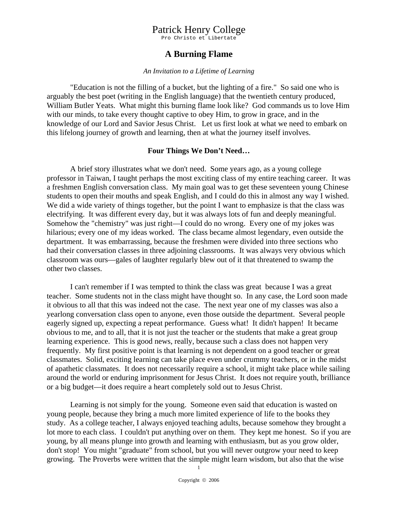Pro Christo et Libertate

### **A Burning Flame**

#### *An Invitation to a Lifetime of Learning*

 "Education is not the filling of a bucket, but the lighting of a fire." So said one who is arguably the best poet (writing in the English language) that the twentieth century produced, William Butler Yeats. What might this burning flame look like? God commands us to love Him with our minds, to take every thought captive to obey Him, to grow in grace, and in the knowledge of our Lord and Savior Jesus Christ. Let us first look at what we need to embark on this lifelong journey of growth and learning, then at what the journey itself involves.

#### **Four Things We Don't Need…**

 A brief story illustrates what we don't need. Some years ago, as a young college professor in Taiwan, I taught perhaps the most exciting class of my entire teaching career. It was a freshmen English conversation class. My main goal was to get these seventeen young Chinese students to open their mouths and speak English, and I could do this in almost any way I wished. We did a wide variety of things together, but the point I want to emphasize is that the class was electrifying. It was different every day, but it was always lots of fun and deeply meaningful. Somehow the "chemistry" was just right—I could do no wrong. Every one of my jokes was hilarious; every one of my ideas worked. The class became almost legendary, even outside the department. It was embarrassing, because the freshmen were divided into three sections who had their conversation classes in three adjoining classrooms. It was always very obvious which classroom was ours—gales of laughter regularly blew out of it that threatened to swamp the other two classes.

 I can't remember if I was tempted to think the class was great because I was a great teacher. Some students not in the class might have thought so. In any case, the Lord soon made it obvious to all that this was indeed not the case. The next year one of my classes was also a yearlong conversation class open to anyone, even those outside the department. Several people eagerly signed up, expecting a repeat performance. Guess what! It didn't happen! It became obvious to me, and to all, that it is not just the teacher or the students that make a great group learning experience. This is good news, really, because such a class does not happen very frequently. My first positive point is that learning is not dependent on a good teacher or great classmates. Solid, exciting learning can take place even under crummy teachers, or in the midst of apathetic classmates. It does not necessarily require a school, it might take place while sailing around the world or enduring imprisonment for Jesus Christ. It does not require youth, brilliance or a big budget—it does require a heart completely sold out to Jesus Christ.

 Learning is not simply for the young. Someone even said that education is wasted on young people, because they bring a much more limited experience of life to the books they study. As a college teacher, I always enjoyed teaching adults, because somehow they brought a lot more to each class. I couldn't put anything over on them. They kept me honest. So if you are young, by all means plunge into growth and learning with enthusiasm, but as you grow older, don't stop! You might "graduate" from school, but you will never outgrow your need to keep growing. The Proverbs were written that the simple might learn wisdom, but also that the wise

1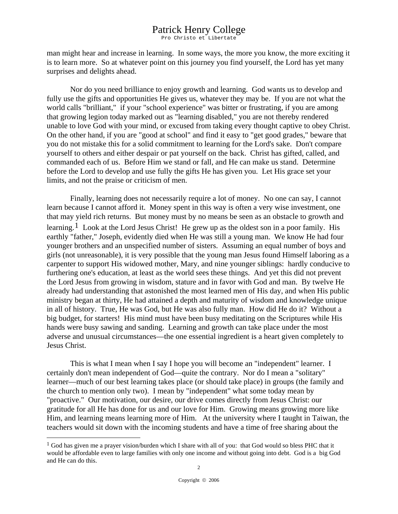Pro Christo et Libertate

man might hear and increase in learning. In some ways, the more you know, the more exciting it is to learn more. So at whatever point on this journey you find yourself, the Lord has yet many surprises and delights ahead.

 Nor do you need brilliance to enjoy growth and learning. God wants us to develop and fully use the gifts and opportunities He gives us, whatever they may be. If you are not what the world calls "brilliant," if your "school experience" was bitter or frustrating, if you are among that growing legion today marked out as "learning disabled," you are not thereby rendered unable to love God with your mind, or excused from taking every thought captive to obey Christ. On the other hand, if you are "good at school" and find it easy to "get good grades," beware that you do not mistake this for a solid commitment to learning for the Lord's sake. Don't compare yourself to others and either despair or pat yourself on the back. Christ has gifted, called, and commanded each of us. Before Him we stand or fall, and He can make us stand. Determine before the Lord to develop and use fully the gifts He has given you. Let His grace set your limits, and not the praise or criticism of men.

 Finally, learning does not necessarily require a lot of money. No one can say, I cannot learn because I cannot afford it. Money spent in this way is often a very wise investment, one that may yield rich returns. But money must by no means be seen as an obstacle to growth and learning.<sup>[1](#page-1-0)</sup> Look at the Lord Jesus Christ! He grew up as the oldest son in a poor family. His earthly "father," Joseph, evidently died when He was still a young man. We know He had four younger brothers and an unspecified number of sisters. Assuming an equal number of boys and girls (not unreasonable), it is very possible that the young man Jesus found Himself laboring as a carpenter to support His widowed mother, Mary, and nine younger siblings: hardly conducive to furthering one's education, at least as the world sees these things. And yet this did not prevent the Lord Jesus from growing in wisdom, stature and in favor with God and man. By twelve He already had understanding that astonished the most learned men of His day, and when His public ministry began at thirty, He had attained a depth and maturity of wisdom and knowledge unique in all of history. True, He was God, but He was also fully man. How did He do it? Without a big budget, for starters! His mind must have been busy meditating on the Scriptures while His hands were busy sawing and sanding. Learning and growth can take place under the most adverse and unusual circumstances—the one essential ingredient is a heart given completely to Jesus Christ.

 This is what I mean when I say I hope you will become an "independent" learner. I certainly don't mean independent of God—quite the contrary. Nor do I mean a "solitary" learner—much of our best learning takes place (or should take place) in groups (the family and the church to mention only two). I mean by "independent" what some today mean by "proactive." Our motivation, our desire, our drive comes directly from Jesus Christ: our gratitude for all He has done for us and our love for Him. Growing means growing more like Him, and learning means learning more of Him. At the university where I taught in Taiwan, the teachers would sit down with the incoming students and have a time of free sharing about the

 $\overline{a}$ 

<span id="page-1-0"></span><sup>&</sup>lt;sup>1</sup> God has given me a prayer vision/burden which I share with all of you: that God would so bless PHC that it would be affordable even to large families with only one income and without going into debt. God is a big God and He can do this.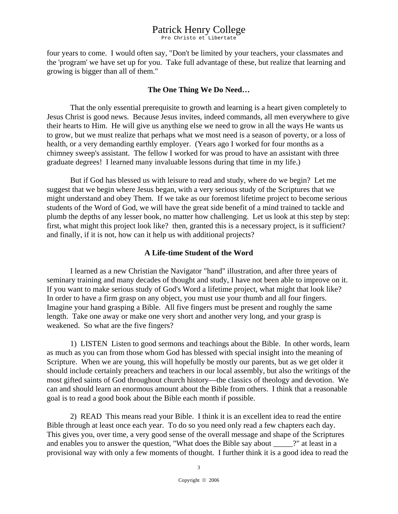Pro Christo et Libertate

four years to come. I would often say, "Don't be limited by your teachers, your classmates and the 'program' we have set up for you. Take full advantage of these, but realize that learning and growing is bigger than all of them."

#### **The One Thing We Do Need…**

 That the only essential prerequisite to growth and learning is a heart given completely to Jesus Christ is good news. Because Jesus invites, indeed commands, all men everywhere to give their hearts to Him. He will give us anything else we need to grow in all the ways He wants us to grow, but we must realize that perhaps what we most need is a season of poverty, or a loss of health, or a very demanding earthly employer. (Years ago I worked for four months as a chimney sweep's assistant. The fellow I worked for was proud to have an assistant with three graduate degrees! I learned many invaluable lessons during that time in my life.)

 But if God has blessed us with leisure to read and study, where do we begin? Let me suggest that we begin where Jesus began, with a very serious study of the Scriptures that we might understand and obey Them. If we take as our foremost lifetime project to become serious students of the Word of God, we will have the great side benefit of a mind trained to tackle and plumb the depths of any lesser book, no matter how challenging. Let us look at this step by step: first, what might this project look like? then, granted this is a necessary project, is it sufficient? and finally, if it is not, how can it help us with additional projects?

#### **A Life-time Student of the Word**

 I learned as a new Christian the Navigator "hand" illustration, and after three years of seminary training and many decades of thought and study, I have not been able to improve on it. If you want to make serious study of God's Word a lifetime project, what might that look like? In order to have a firm grasp on any object, you must use your thumb and all four fingers. Imagine your hand grasping a Bible. All five fingers must be present and roughly the same length. Take one away or make one very short and another very long, and your grasp is weakened. So what are the five fingers?

 1) LISTEN Listen to good sermons and teachings about the Bible. In other words, learn as much as you can from those whom God has blessed with special insight into the meaning of Scripture. When we are young, this will hopefully be mostly our parents, but as we get older it should include certainly preachers and teachers in our local assembly, but also the writings of the most gifted saints of God throughout church history—the classics of theology and devotion. We can and should learn an enormous amount about the Bible from others. I think that a reasonable goal is to read a good book about the Bible each month if possible.

 2) READ This means read your Bible. I think it is an excellent idea to read the entire Bible through at least once each year. To do so you need only read a few chapters each day. This gives you, over time, a very good sense of the overall message and shape of the Scriptures and enables you to answer the question, "What does the Bible say about ?" at least in a provisional way with only a few moments of thought. I further think it is a good idea to read the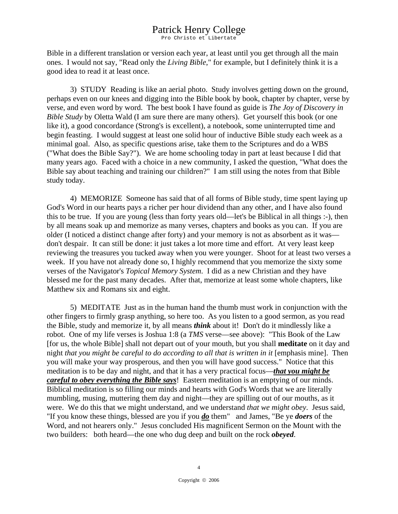Pro Christo et Libertate

Bible in a different translation or version each year, at least until you get through all the main ones. I would not say, "Read only the *Living Bible*," for example, but I definitely think it is a good idea to read it at least once.

 3) STUDY Reading is like an aerial photo. Study involves getting down on the ground, perhaps even on our knees and digging into the Bible book by book, chapter by chapter, verse by verse, and even word by word. The best book I have found as guide is *The Joy of Discovery in Bible Study* by Oletta Wald (I am sure there are many others). Get yourself this book (or one like it), a good concordance (Strong's is excellent), a notebook, some uninterrupted time and begin feasting. I would suggest at least one solid hour of inductive Bible study each week as a minimal goal. Also, as specific questions arise, take them to the Scriptures and do a WBS ("What does the Bible Say?"). We are home schooling today in part at least because I did that many years ago. Faced with a choice in a new community, I asked the question, "What does the Bible say about teaching and training our children?" I am still using the notes from that Bible study today.

 4) MEMORIZE Someone has said that of all forms of Bible study, time spent laying up God's Word in our hearts pays a richer per hour dividend than any other, and I have also found this to be true. If you are young (less than forty years old—let's be Biblical in all things :-), then by all means soak up and memorize as many verses, chapters and books as you can. If you are older (I noticed a distinct change after forty) and your memory is not as absorbent as it was don't despair. It can still be done: it just takes a lot more time and effort. At very least keep reviewing the treasures you tucked away when you were younger. Shoot for at least two verses a week. If you have not already done so, I highly recommend that you memorize the sixty some verses of the Navigator's *Topical Memory System*. I did as a new Christian and they have blessed me for the past many decades. After that, memorize at least some whole chapters, like Matthew six and Romans six and eight.

 5) MEDITATE Just as in the human hand the thumb must work in conjunction with the other fingers to firmly grasp anything, so here too. As you listen to a good sermon, as you read the Bible, study and memorize it, by all means *think* about it! Don't do it mindlessly like a robot. One of my life verses is Joshua 1:8 (a *TMS* verse—see above): "This Book of the Law [for us, the whole Bible] shall not depart out of your mouth, but you shall **meditate** on it day and night *that you might be careful to do according to all that is written in it* [emphasis mine]. Then you will make your way prosperous, and then you will have good success." Notice that this meditation is to be day and night, and that it has a very practical focus—*that you might be careful to obey everything the Bible says*! Eastern meditation is an emptying of our minds. Biblical meditation is so filling our minds and hearts with God's Words that we are literally mumbling, musing, muttering them day and night—they are spilling out of our mouths, as it were. We do this that we might understand, and we understand *that we might obey*. Jesus said, "If you know these things, blessed are you if you *do* them" and James, "Be ye *doers* of the Word, and not hearers only." Jesus concluded His magnificent Sermon on the Mount with the two builders: both heard—the one who dug deep and built on the rock *obeyed*.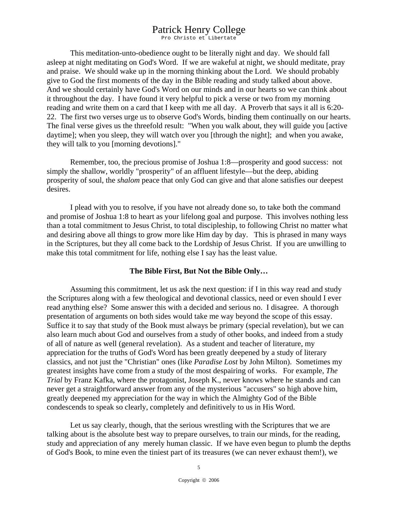Pro Christo et Libertate

 This meditation-unto-obedience ought to be literally night and day. We should fall asleep at night meditating on God's Word. If we are wakeful at night, we should meditate, pray and praise. We should wake up in the morning thinking about the Lord. We should probably give to God the first moments of the day in the Bible reading and study talked about above. And we should certainly have God's Word on our minds and in our hearts so we can think about it throughout the day. I have found it very helpful to pick a verse or two from my morning reading and write them on a card that I keep with me all day. A Proverb that says it all is 6:20- 22. The first two verses urge us to observe God's Words, binding them continually on our hearts. The final verse gives us the threefold result: "When you walk about, they will guide you [active daytime]; when you sleep, they will watch over you [through the night]; and when you awake, they will talk to you [morning devotions]."

 Remember, too, the precious promise of Joshua 1:8—prosperity and good success: not simply the shallow, worldly "prosperity" of an affluent lifestyle—but the deep, abiding prosperity of soul, the *shalom* peace that only God can give and that alone satisfies our deepest desires.

 I plead with you to resolve, if you have not already done so, to take both the command and promise of Joshua 1:8 to heart as your lifelong goal and purpose. This involves nothing less than a total commitment to Jesus Christ, to total discipleship, to following Christ no matter what and desiring above all things to grow more like Him day by day. This is phrased in many ways in the Scriptures, but they all come back to the Lordship of Jesus Christ. If you are unwilling to make this total commitment for life, nothing else I say has the least value.

#### **The Bible First, But Not the Bible Only…**

 Assuming this commitment, let us ask the next question: if I in this way read and study the Scriptures along with a few theological and devotional classics, need or even should I ever read anything else? Some answer this with a decided and serious no. I disagree. A thorough presentation of arguments on both sides would take me way beyond the scope of this essay. Suffice it to say that study of the Book must always be primary (special revelation), but we can also learn much about God and ourselves from a study of other books, and indeed from a study of all of nature as well (general revelation). As a student and teacher of literature, my appreciation for the truths of God's Word has been greatly deepened by a study of literary classics, and not just the "Christian" ones (like *Paradise Lost* by John Milton). Sometimes my greatest insights have come from a study of the most despairing of works. For example, *The Trial* by Franz Kafka, where the protagonist, Joseph K., never knows where he stands and can never get a straightforward answer from any of the mysterious "accusers" so high above him, greatly deepened my appreciation for the way in which the Almighty God of the Bible condescends to speak so clearly, completely and definitively to us in His Word.

 Let us say clearly, though, that the serious wrestling with the Scriptures that we are talking about is the absolute best way to prepare ourselves, to train our minds, for the reading, study and appreciation of any merely human classic. If we have even begun to plumb the depths of God's Book, to mine even the tiniest part of its treasures (we can never exhaust them!), we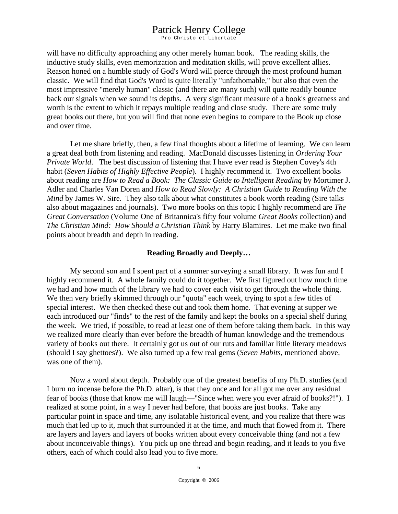Pro Christo et Libertate

will have no difficulty approaching any other merely human book. The reading skills, the inductive study skills, even memorization and meditation skills, will prove excellent allies. Reason honed on a humble study of God's Word will pierce through the most profound human classic. We will find that God's Word is quite literally "unfathomable," but also that even the most impressive "merely human" classic (and there are many such) will quite readily bounce back our signals when we sound its depths. A very significant measure of a book's greatness and worth is the extent to which it repays multiple reading and close study. There are some truly great books out there, but you will find that none even begins to compare to the Book up close and over time.

 Let me share briefly, then, a few final thoughts about a lifetime of learning. We can learn a great deal both from listening and reading. MacDonald discusses listening in *Ordering Your Private World*. The best discussion of listening that I have ever read is Stephen Covey's 4th habit (*Seven Habits of Highly Effective People*). I highly recommend it. Two excellent books about reading are *How to Read a Book: The Classic Guide to Intelligent Reading* by Mortimer J. Adler and Charles Van Doren and *How to Read Slowly: A Christian Guide to Reading With the Mind* by James W. Sire. They also talk about what constitutes a book worth reading (Sire talks also about magazines and journals). Two more books on this topic I highly recommend are *The Great Conversation* (Volume One of Britannica's fifty four volume *Great Books* collection) and *The Christian Mind: How Should a Christian Think* by Harry Blamires. Let me make two final points about breadth and depth in reading.

#### **Reading Broadly and Deeply…**

 My second son and I spent part of a summer surveying a small library. It was fun and I highly recommend it. A whole family could do it together. We first figured out how much time we had and how much of the library we had to cover each visit to get through the whole thing. We then very briefly skimmed through our "quota" each week, trying to spot a few titles of special interest. We then checked these out and took them home. That evening at supper we each introduced our "finds" to the rest of the family and kept the books on a special shelf during the week. We tried, if possible, to read at least one of them before taking them back. In this way we realized more clearly than ever before the breadth of human knowledge and the tremendous variety of books out there. It certainly got us out of our ruts and familiar little literary meadows (should I say ghettoes?). We also turned up a few real gems (*Seven Habits*, mentioned above, was one of them).

 Now a word about depth. Probably one of the greatest benefits of my Ph.D. studies (and I burn no incense before the Ph.D. altar), is that they once and for all got me over any residual fear of books (those that know me will laugh—"Since when were you ever afraid of books?!"). I realized at some point, in a way I never had before, that books are just books. Take any particular point in space and time, any isolatable historical event, and you realize that there was much that led up to it, much that surrounded it at the time, and much that flowed from it. There are layers and layers and layers of books written about every conceivable thing (and not a few about inconceivable things). You pick up one thread and begin reading, and it leads to you five others, each of which could also lead you to five more.